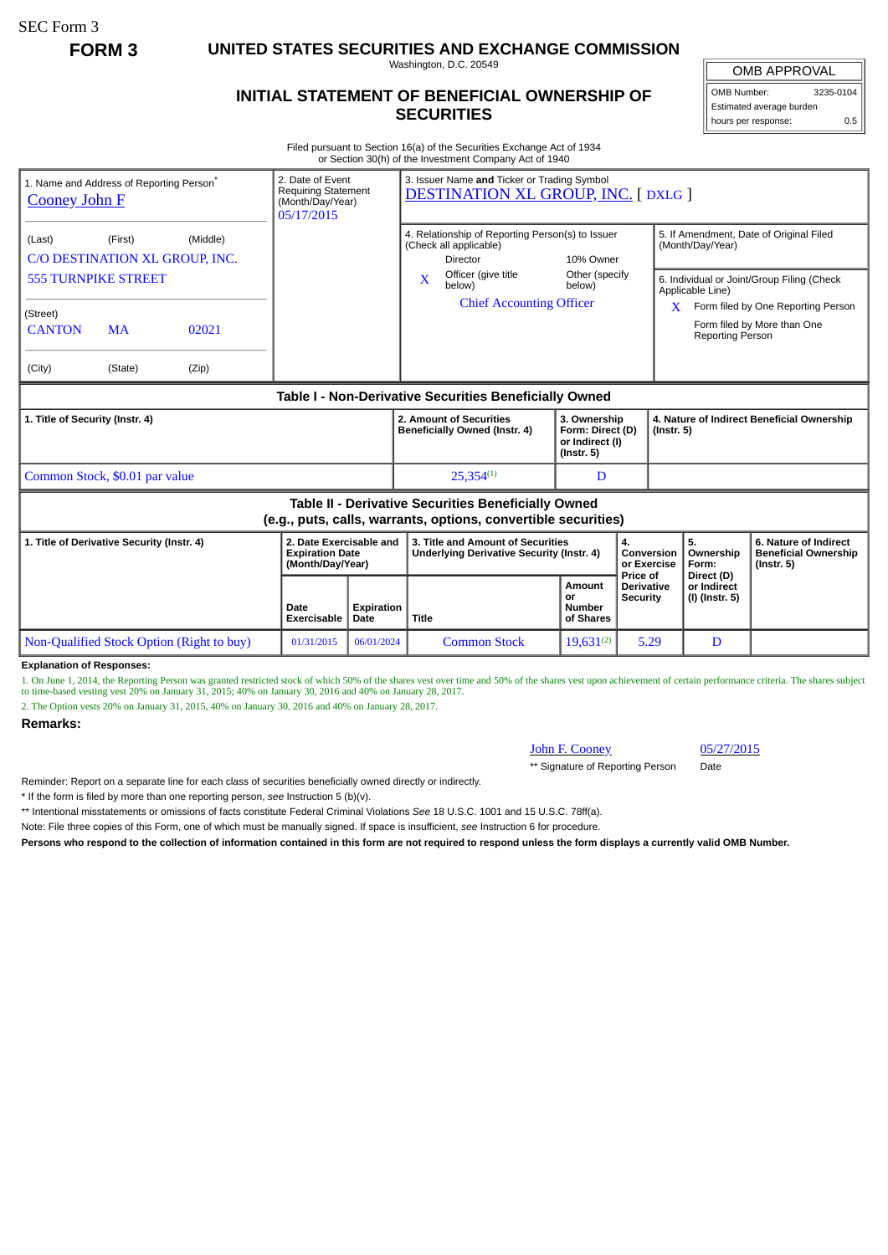SEC Form 3

**FORM 3 UNITED STATES SECURITIES AND EXCHANGE COMMISSION**

Washington, D.C. 20549

## **INITIAL STATEMENT OF BENEFICIAL OWNERSHIP OF SECURITIES**

OMB APPROVAL OMB Number: 3235-0104

Estimated average burden hours per response: 0.5

Filed pursuant to Section 16(a) of the Securities Exchange Act of 1934 or Section 30(h) of the Investment Company Act of 1940

| <b>Cooney John F</b>                                                                                                         | 1. Name and Address of Reporting Person <sup>®</sup> |                | 2. Date of Event<br><b>Requiring Statement</b><br>(Month/Day/Year)<br>05/17/2015 |                                                                                                               | 3. Issuer Name and Ticker or Trading Symbol<br><b>DESTINATION XL GROUP, INC. [DXLG ]</b> |                                                                         |                                                                                                           |                                                                |                                                                          |  |
|------------------------------------------------------------------------------------------------------------------------------|------------------------------------------------------|----------------|----------------------------------------------------------------------------------|---------------------------------------------------------------------------------------------------------------|------------------------------------------------------------------------------------------|-------------------------------------------------------------------------|-----------------------------------------------------------------------------------------------------------|----------------------------------------------------------------|--------------------------------------------------------------------------|--|
| (Middle)<br>(First)<br>(Last)<br>C/O DESTINATION XL GROUP, INC.<br><b>555 TURNPIKE STREET</b>                                |                                                      |                |                                                                                  | 4. Relationship of Reporting Person(s) to Issuer<br>(Check all applicable)<br>Director<br>Officer (give title | 10% Owner<br>Other (specify                                                              |                                                                         | 5. If Amendment, Date of Original Filed<br>(Month/Day/Year)<br>6. Individual or Joint/Group Filing (Check |                                                                |                                                                          |  |
| (Street)<br><b>CANTON</b><br>(City)                                                                                          | <b>MA</b><br>(State)                                 | 02021<br>(Zip) |                                                                                  |                                                                                                               | X<br>below)<br><b>Chief Accounting Officer</b>                                           | below)                                                                  | X.                                                                                                        | Applicable Line)<br><b>Reporting Person</b>                    | Form filed by One Reporting Person<br>Form filed by More than One        |  |
| Table I - Non-Derivative Securities Beneficially Owned                                                                       |                                                      |                |                                                                                  |                                                                                                               |                                                                                          |                                                                         |                                                                                                           |                                                                |                                                                          |  |
| 1. Title of Security (Instr. 4)                                                                                              |                                                      |                |                                                                                  |                                                                                                               | 2. Amount of Securities<br>Beneficially Owned (Instr. 4)                                 | 3. Ownership<br>Form: Direct (D)<br>or Indirect (I)<br>$($ lnstr. 5 $)$ |                                                                                                           | 4. Nature of Indirect Beneficial Ownership<br>$($ lnstr. 5 $)$ |                                                                          |  |
| Common Stock, \$0.01 par value                                                                                               |                                                      |                |                                                                                  |                                                                                                               | $25.354^{(1)}$                                                                           | D                                                                       |                                                                                                           |                                                                |                                                                          |  |
| <b>Table II - Derivative Securities Beneficially Owned</b><br>(e.g., puts, calls, warrants, options, convertible securities) |                                                      |                |                                                                                  |                                                                                                               |                                                                                          |                                                                         |                                                                                                           |                                                                |                                                                          |  |
| 1. Title of Derivative Security (Instr. 4)                                                                                   |                                                      |                | 2. Date Exercisable and<br><b>Expiration Date</b><br>(Month/Day/Year)            |                                                                                                               | 3. Title and Amount of Securities<br>Underlying Derivative Security (Instr. 4)           |                                                                         | 4.<br>Conversion<br>or Exercise<br>Price of                                                               | 5.<br>Ownership<br>Form:<br>Direct (D)                         | 6. Nature of Indirect<br><b>Beneficial Ownership</b><br>$($ lnstr. 5 $)$ |  |
|                                                                                                                              |                                                      |                | Date<br>Exercisable                                                              | Expiration<br>Date                                                                                            | <b>Title</b>                                                                             | Amount<br><b>or</b><br>Number<br>of Shares                              | <b>Derivative</b><br><b>Security</b>                                                                      | or Indirect<br>(I) (Instr. 5)                                  |                                                                          |  |
| Non-Qualified Stock Option (Right to buy)                                                                                    |                                                      | 01/31/2015     | 06/01/2024                                                                       | <b>Common Stock</b>                                                                                           | $19,631^{(2)}$                                                                           | 5.29                                                                    | D                                                                                                         |                                                                |                                                                          |  |

## **Explanation of Responses:**

1. On June 1, 2014, the Reporting Person was granted restricted stock of which 50% of the shares vest over time and 50% of the shares vest upon achievement of certain performance criteria. The shares subject<br>to time-based

2. The Option vests 20% on January 31, 2015, 40% on January 30, 2016 and 40% on January 28, 2017.

## **Remarks:**

## John F. Cooney 05/27/2015

\*\* Signature of Reporting Person Date

Reminder: Report on a separate line for each class of securities beneficially owned directly or indirectly.

\* If the form is filed by more than one reporting person, *see* Instruction 5 (b)(v).

\*\* Intentional misstatements or omissions of facts constitute Federal Criminal Violations *See* 18 U.S.C. 1001 and 15 U.S.C. 78ff(a).

Note: File three copies of this Form, one of which must be manually signed. If space is insufficient, *see* Instruction 6 for procedure.

**Persons who respond to the collection of information contained in this form are not required to respond unless the form displays a currently valid OMB Number.**